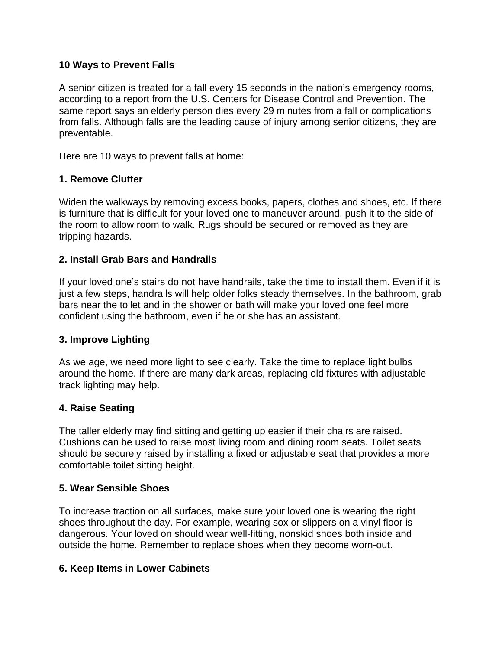#### **10 Ways to Prevent Falls**

A senior citizen is treated for a fall every 15 seconds in the nation's emergency rooms, according to a report from the U.S. Centers for Disease Control and Prevention. The same report says an elderly person dies every 29 minutes from a fall or complications from falls. Although falls are the leading cause of injury among senior citizens, they are preventable.

Here are 10 ways to prevent falls at home:

#### **1. Remove Clutter**

Widen the walkways by removing excess books, papers, clothes and shoes, etc. If there is furniture that is difficult for your loved one to maneuver around, push it to the side of the room to allow room to walk. Rugs should be secured or removed as they are tripping hazards.

### **2. Install Grab Bars and Handrails**

If your loved one's stairs do not have handrails, take the time to install them. Even if it is just a few steps, handrails will help older folks steady themselves. In the bathroom, grab bars near the toilet and in the shower or bath will make your loved one feel more confident using the bathroom, even if he or she has an assistant.

#### **3. Improve Lighting**

As we age, we need more light to see clearly. Take the time to replace light bulbs around the home. If there are many dark areas, replacing old fixtures with adjustable track lighting may help.

#### **4. Raise Seating**

The taller elderly may find sitting and getting up easier if their chairs are raised. Cushions can be used to raise most living room and dining room seats. Toilet seats should be securely raised by installing a fixed or adjustable seat that provides a more comfortable toilet sitting height.

#### **5. Wear Sensible Shoes**

To increase traction on all surfaces, make sure your loved one is wearing the right shoes throughout the day. For example, wearing sox or slippers on a vinyl floor is dangerous. Your loved on should wear well-fitting, nonskid shoes both inside and outside the home. Remember to replace shoes when they become worn-out.

#### **6. Keep Items in Lower Cabinets**